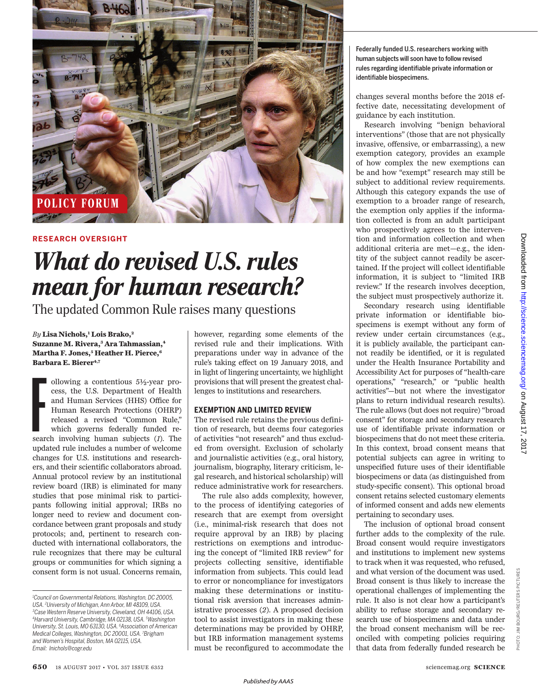

## **RESEARCH OVERSIGHT**

# *What do revised U.S. rules mean for human research?*

The updated Common Rule raises many questions

*By* **Lisa Nichols,<sup>1</sup> Lois Brako,<sup>2</sup> Suzanne M. Rivera, 3 Ara Tahmassian,<sup>4</sup> Martha F. Jones,<sup>5</sup> Heather H. Pierce,<sup>6</sup> Barbara E. Bierer4,7**

ollowing a contentious 5½-year process, the U.S. Department of Health and Human Services (HHS) Office for Human Research Protections (OHRP) released a revised "Common Rule," which governs federally funded research involvin ollowing a contentious 5½-year process, the U.S. Department of Health and Human Services (HHS) Office for Human Research Protections (OHRP) released a revised "Common Rule," which governs federally funded reupdated rule includes a number of welcome changes for U.S. institutions and researchers, and their scientific collaborators abroad. Annual protocol review by an institutional review board (IRB) is eliminated for many studies that pose minimal risk to participants following initial approval; IRBs no longer need to review and document concordance between grant proposals and study protocols; and, pertinent to research conducted with international collaborators, the rule recognizes that there may be cultural groups or communities for which signing a consent form is not usual. Concerns remain, however, regarding some elements of the revised rule and their implications. With preparations under way in advance of the rule's taking effect on 19 January 2018, and in light of lingering uncertainty, we highlight provisions that will present the greatest challenges to institutions and researchers.

#### **EXEMPTION AND LIMITED REVIEW**

The revised rule retains the previous definition of research, but deems four categories of activities "not research" and thus excluded from oversight. Exclusion of scholarly and journalistic activities (e.g., oral history, journalism, biography, literary criticism, legal research, and historical scholarship) will reduce administrative work for researchers.

The rule also adds complexity, however, to the process of identifying categories of research that are exempt from oversight (i.e., minimal-risk research that does not require approval by an IRB) by placing restrictions on exemptions and introducing the concept of "limited IRB review" for projects collecting sensitive, identifiable information from subjects. This could lead to error or noncompliance for investigators making these determinations or institutional risk aversion that increases administrative processes (*2*). A proposed decision tool to assist investigators in making these determinations may be provided by OHRP, but IRB information management systems must be reconfigured to accommodate the

Federally funded U.S. researchers working with human subjects will soon have to follow revised rules regarding identifiable private information or identifiable biospecimens.

changes several months before the 2018 effective date, necessitating development of guidance by each institution.

Research involving "benign behavioral interventions" (those that are not physically invasive, offensive, or embarrassing), a new exemption category, provides an example of how complex the new exemptions can be and how "exempt" research may still be subject to additional review requirements. Although this category expands the use of exemption to a broader range of research, the exemption only applies if the information collected is from an adult participant who prospectively agrees to the intervention and information collection and when additional criteria are met—e.g., the identity of the subject cannot readily be ascertained. If the project will collect identifiable information, it is subject to "limited IRB review." If the research involves deception, the subject must prospectively authorize it.

Secondary research using identifiable private information or identifiable biospecimens is exempt without any form of review under certain circumstances (e.g., it is publicly available, the participant cannot readily be identified, or it is regulated under the Health Insurance Portability and Accessibility Act for purposes of "health-care operations," "research," or "public health activities"—but not where the investigator plans to return individual research results). The rule allows (but does not require) "broad consent" for storage and secondary research use of identifiable private information or biospecimens that do not meet these criteria. In this context, broad consent means that potential subjects can agree in writing to unspecified future uses of their identifiable biospecimens or data (as distinguished from study-specific consent). This optional broad consent retains selected customary elements of informed consent and adds new elements pertaining to secondary uses.

The inclusion of optional broad consent further adds to the complexity of the rule. Broad consent would require investigators and institutions to implement new systems to track when it was requested, who refused, and what version of the document was used. Broad consent is thus likely to increase the operational challenges of implementing the rule. It also is not clear how a participant's ability to refuse storage and secondary research use of biospecimens and data under the broad consent mechanism will be reconciled with competing policies requiring that data from federally funded research be

<sup>&</sup>lt;sup>1</sup>Council on Governmental Relations, Washington, DC 20005, *USA. <sup>2</sup>University of Michigan,Ann Arbor, MI 48109, USA. <sup>3</sup>Case Western Reserve University, Cleveland, OH 44106, USA. <sup>4</sup>Harvard University, Cambridge, MA 02138, USA. <sup>5</sup>Washington University, St. Louis, MO 63130, USA. <sup>6</sup>Association of American Medical Colleges,Washington, DC 20001, USA. <sup>7</sup>Brigham and Women's Hospital, Boston, MA 02115, USA. Email: lnichols@cogr.edu*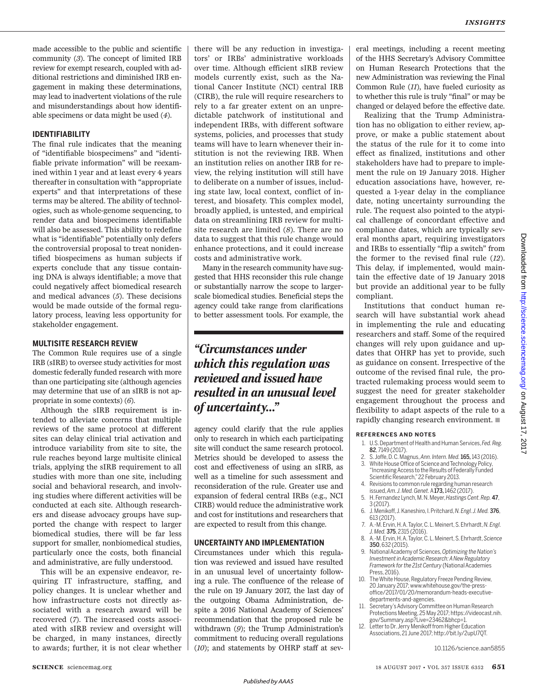made accessible to the public and scientific community (*3*). The concept of limited IRB review for exempt research, coupled with additional restrictions and diminished IRB engagement in making these determinations, may lead to inadvertent violations of the rule and misunderstandings about how identifiable specimens or data might be used (*4*).

#### **IDENTIFIABILITY**

The final rule indicates that the meaning of "identifiable biospecimens" and "identifiable private information" will be reexamined within 1 year and at least every 4 years thereafter in consultation with "appropriate experts" and that interpretations of these terms may be altered. The ability of technologies, such as whole-genome sequencing, to render data and biospecimens identifiable will also be assessed. This ability to redefine what is "identifiable" potentially only defers the controversial proposal to treat nonidentified biospecimens as human subjects if experts conclude that any tissue containing DNA is always identifiable; a move that could negatively affect biomedical research and medical advances (*5*). These decisions would be made outside of the formal regulatory process, leaving less opportunity for stakeholder engagement.

#### **MULTISITE RESEARCH REVIEW**

The Common Rule requires use of a single IRB (sIRB) to oversee study activities for most domestic federally funded research with more than one participating site (although agencies may determine that use of an sIRB is not appropriate in some contexts) (*6*).

Although the sIRB requirement is intended to alleviate concerns that multiple reviews of the same protocol at different sites can delay clinical trial activation and introduce variability from site to site, the rule reaches beyond large multisite clinical trials, applying the sIRB requirement to all studies with more than one site, including social and behavioral research, and involving studies where different activities will be conducted at each site. Although researchers and disease advocacy groups have supported the change with respect to larger biomedical studies, there will be far less support for smaller, nonbiomedical studies, particularly once the costs, both financial and administrative, are fully understood.

This will be an expensive endeavor, requiring IT infrastructure, staffing, and policy changes. It is unclear whether and how infrastructure costs not directly associated with a research award will be recovered (*7*). The increased costs associated with sIRB review and oversight will be charged, in many instances, directly to awards; further, it is not clear whether there will be any reduction in investigators' or IRBs' administrative workloads over time. Although efficient sIRB review models currently exist, such as the National Cancer Institute (NCI) central IRB (CIRB), the rule will require researchers to rely to a far greater extent on an unpredictable patchwork of institutional and independent IRBs, with different software systems, policies, and processes that study teams will have to learn whenever their institution is not the reviewing IRB. When an institution relies on another IRB for review, the relying institution will still have to deliberate on a number of issues, including state law, local context, conflict of interest, and biosafety. This complex model, broadly applied, is untested, and empirical data on streamlining IRB review for multisite research are limited (*8*). There are no data to suggest that this rule change would enhance protections, and it could increase costs and administrative work.

Many in the research community have suggested that HHS reconsider this rule change or substantially narrow the scope to largerscale biomedical studies. Beneficial steps the agency could take range from clarifications to better assessment tools. For example, the

# *"Circumstances under which this regulation was reviewed and issued have resulted in an unusual level of uncertainty…"*

agency could clarify that the rule applies only to research in which each participating site will conduct the same research protocol. Metrics should be developed to assess the cost and effectiveness of using an sIRB, as well as a timeline for such assessment and reconsideration of the rule. Greater use and expansion of federal central IRBs (e.g., NCI CIRB) would reduce the administrative work and cost for institutions and researchers that are expected to result from this change.

#### **UNCERTAINTY AND IMPLEMENTATION**

Circumstances under which this regulation was reviewed and issued have resulted in an unusual level of uncertainty following a rule. The confluence of the release of the rule on 19 January 2017, the last day of the outgoing Obama Administration, despite a 2016 National Academy of Sciences' recommendation that the proposed rule be withdrawn (*9*); the Trump Administration's commitment to reducing overall regulations (*10*); and statements by OHRP staff at sev-

eral meetings, including a recent meeting of the HHS Secretary's Advisory Committee on Human Research Protections that the new Administration was reviewing the Final Common Rule (*11*), have fueled curiosity as to whether this rule is truly "final" or may be changed or delayed before the effective date.

Realizing that the Trump Administration has no obligation to either review, approve, or make a public statement about the status of the rule for it to come into effect as finalized, institutions and other stakeholders have had to prepare to implement the rule on 19 January 2018. Higher education associations have, however, requested a 1-year delay in the compliance date, noting uncertainty surrounding the rule. The request also pointed to the atypical challenge of concordant effective and compliance dates, which are typically several months apart, requiring investigators and IRBs to essentially "flip a switch" from the former to the revised final rule (*12*). This delay, if implemented, would maintain the effective date of 19 January 2018 but provide an additional year to be fully compliant.

Institutions that conduct human research will have substantial work ahead in implementing the rule and educating researchers and staff. Some of the required changes will rely upon guidance and updates that OHRP has yet to provide, such as guidance on consent. Irrespective of the outcome of the revised final rule, the protracted rulemaking process would seem to suggest the need for greater stakeholder engagement throughout the process and flexibility to adapt aspects of the rule to a rapidly changing research environment.  $\blacksquare$ 

#### **REFERENCES AND NOTES**

- 1. U.S. Department of Health and Human Services, Fed. Reg. 82, 7149 (2017).
- 2. S.Joffe, D. C. Magnus, *Ann.Intern. Med.*165, 143 (2016). White House Office of Science and Technology Policy, "IncreasingAccess to the Results of Federally Funded Scientific Research," 22 February 2013.
- 4. Revisions to common rule regarding human research issued,*Am.J. Med. Genet.*A 173, 1462 (2017).
- 5. H. Fernandez Lynch, M.N.Meyer,*Hastings Cent.Rep.* 47, 3 (2017).
- 6. J. Menikoff,J. Kaneshiro,I.Pritchard,*N.Engl. J. Med.* 376, 613 (2017).
- 7. A.-M. Ervin, H.A. Taylor, C. L. Meinert,S. Ehrhardt, *N. Engl. J. Med.* 375, 2315 (2016).
- 8. A.-M. Ervin, H.A. Taylor, C. L. Meinert,S. Ehrhardt, *Science* 350, 632 (2015).
- 9. National Academy of Sciences, Optimizing the Nation's *InvestmentinAcademic Research:A New Regulatory Framework for the 21st Century* (National Academies Press, 2016).
- 10. The White House, Regulatory Freeze Pending Review, 20 January 2017;www.whitehouse.gov/the-pressoffice/2017/01/20/memorandum-heads-executivedepartments-and-agencies.
- 11. Secretary's Advisory Committee on Human Research Protections Meeting, 25 May 2017; https://videocast.nih. gov/Summary.asp?Live=23462&bhcp=1.
- 12. Letter to Dr.Jerry Menikoff from Higher Education Associations, 21 June 2017; http://bit.ly/2upU7QT.

10.1126/science.aan5855